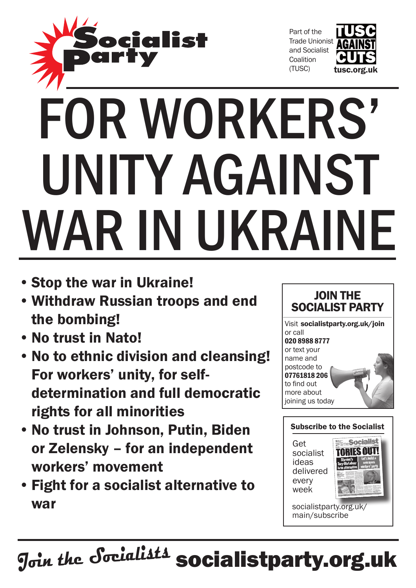

Part of the Trade Unionist and Socialist **Coalition** (TUSC)



## FOR WORKERS' unity against WAR IN UKRAINE

- • Stop the war in Ukraine!
- • Withdraw Russian troops and end the bombing!
- • No trust in Nato!
- • No to ethnic division and cleansing! For workers' unity, for selfdetermination and full democratic rights for all minorities
- • No trust in Johnson, Putin, Biden or Zelensky – for an independent workers' movement
- • Fight for a socialist alternative to war





main/subscribe

**Join the Socialists** socialistparty.org.uk